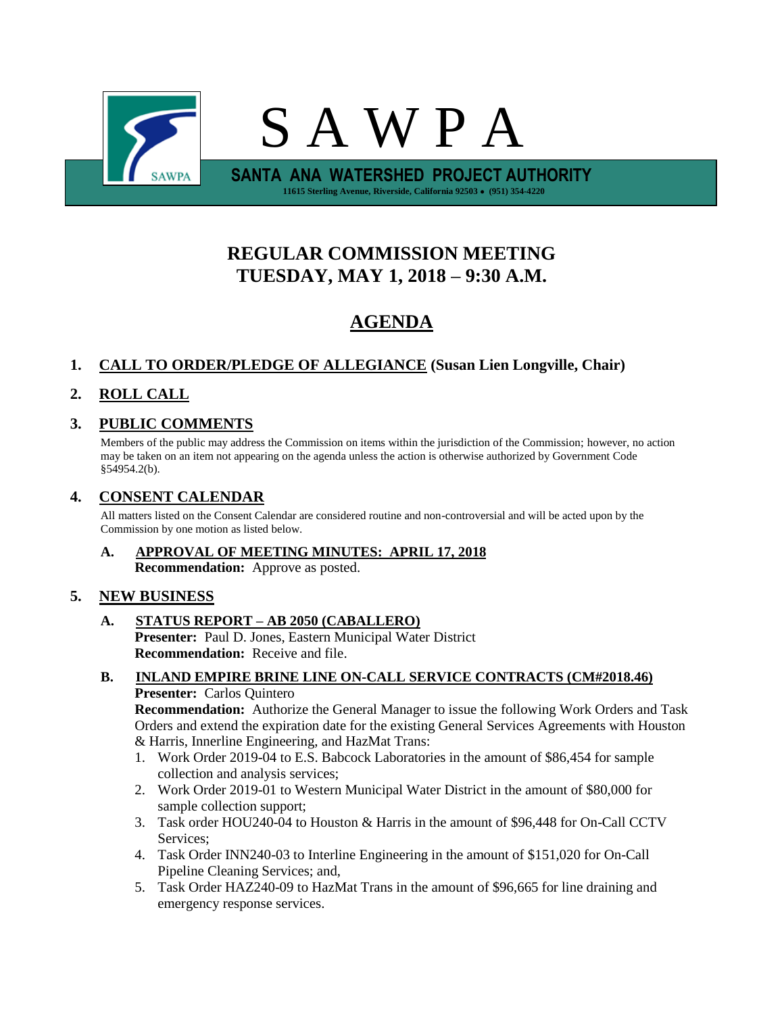

# **REGULAR COMMISSION MEETING TUESDAY, MAY 1, 2018 – 9:30 A.M.**

# **AGENDA**

## **1. CALL TO ORDER/PLEDGE OF ALLEGIANCE (Susan Lien Longville, Chair)**

# **2. ROLL CALL**

## **3. PUBLIC COMMENTS**

Members of the public may address the Commission on items within the jurisdiction of the Commission; however, no action may be taken on an item not appearing on the agenda unless the action is otherwise authorized by Government Code §54954.2(b).

## **4. CONSENT CALENDAR**

All matters listed on the Consent Calendar are considered routine and non-controversial and will be acted upon by the Commission by one motion as listed below.

**A. APPROVAL OF MEETING MINUTES: APRIL 17, 2018 Recommendation:** Approve as posted.

## **5. NEW BUSINESS**

**A. STATUS REPORT – AB 2050 (CABALLERO) Presenter:** Paul D. Jones, Eastern Municipal Water District

**Recommendation:** Receive and file.

#### **B. INLAND EMPIRE BRINE LINE ON-CALL SERVICE CONTRACTS (CM#2018.46) Presenter:** Carlos Quintero

**Recommendation:** Authorize the General Manager to issue the following Work Orders and Task Orders and extend the expiration date for the existing General Services Agreements with Houston & Harris, Innerline Engineering, and HazMat Trans:

- 1. Work Order 2019-04 to E.S. Babcock Laboratories in the amount of \$86,454 for sample collection and analysis services;
- 2. Work Order 2019-01 to Western Municipal Water District in the amount of \$80,000 for sample collection support;
- 3. Task order HOU240-04 to Houston & Harris in the amount of \$96,448 for On-Call CCTV Services;
- 4. Task Order INN240-03 to Interline Engineering in the amount of \$151,020 for On-Call Pipeline Cleaning Services; and,
- 5. Task Order HAZ240-09 to HazMat Trans in the amount of \$96,665 for line draining and emergency response services.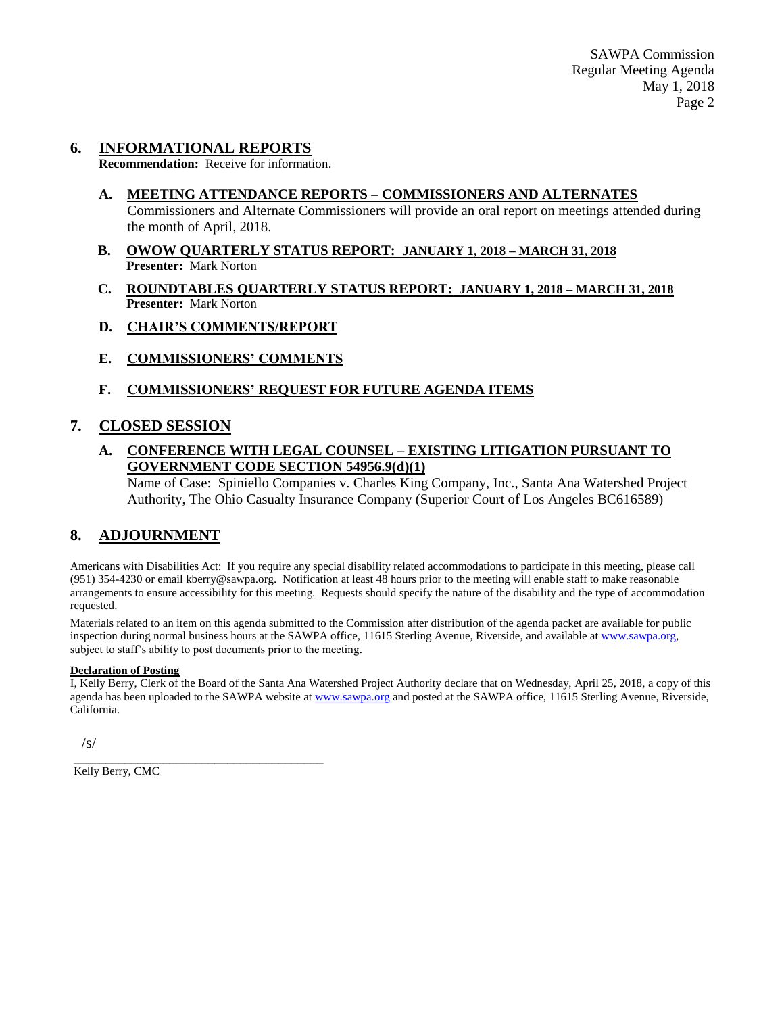### **6. INFORMATIONAL REPORTS**

**Recommendation:** Receive for information.

- **A. MEETING ATTENDANCE REPORTS – COMMISSIONERS AND ALTERNATES** Commissioners and Alternate Commissioners will provide an oral report on meetings attended during the month of April, 2018.
- **B. OWOW QUARTERLY STATUS REPORT: JANUARY 1, 2018 – MARCH 31, 2018 Presenter:** Mark Norton
- **C. ROUNDTABLES QUARTERLY STATUS REPORT: JANUARY 1, 2018 – MARCH 31, 2018 Presenter:** Mark Norton
- **D. CHAIR'S COMMENTS/REPORT**
- **E. COMMISSIONERS' COMMENTS**

#### **F. COMMISSIONERS' REQUEST FOR FUTURE AGENDA ITEMS**

#### **7. CLOSED SESSION**

#### **A. CONFERENCE WITH LEGAL COUNSEL – EXISTING LITIGATION PURSUANT TO GOVERNMENT CODE SECTION 54956.9(d)(1)**

Name of Case: Spiniello Companies v. Charles King Company, Inc., Santa Ana Watershed Project Authority, The Ohio Casualty Insurance Company (Superior Court of Los Angeles BC616589)

#### **8. ADJOURNMENT**

Americans with Disabilities Act: If you require any special disability related accommodations to participate in this meeting, please call (951) 354-4230 or email kberry@sawpa.org. Notification at least 48 hours prior to the meeting will enable staff to make reasonable arrangements to ensure accessibility for this meeting. Requests should specify the nature of the disability and the type of accommodation requested.

Materials related to an item on this agenda submitted to the Commission after distribution of the agenda packet are available for public inspection during normal business hours at the SAWPA office, 11615 Sterling Avenue, Riverside, and available a[t www.sawpa.org,](http://www.sawpa.org/) subject to staff's ability to post documents prior to the meeting.

#### **Declaration of Posting**

I, Kelly Berry, Clerk of the Board of the Santa Ana Watershed Project Authority declare that on Wednesday, April 25, 2018, a copy of this agenda has been uploaded to the SAWPA website at [www.sawpa.org](http://www.sawpa.org/) and posted at the SAWPA office, 11615 Sterling Avenue, Riverside, California.

/s/

Kelly Berry, CMC

\_\_\_\_\_\_\_\_\_\_\_\_\_\_\_\_\_\_\_\_\_\_\_\_\_\_\_\_\_\_\_\_\_\_\_\_\_\_\_